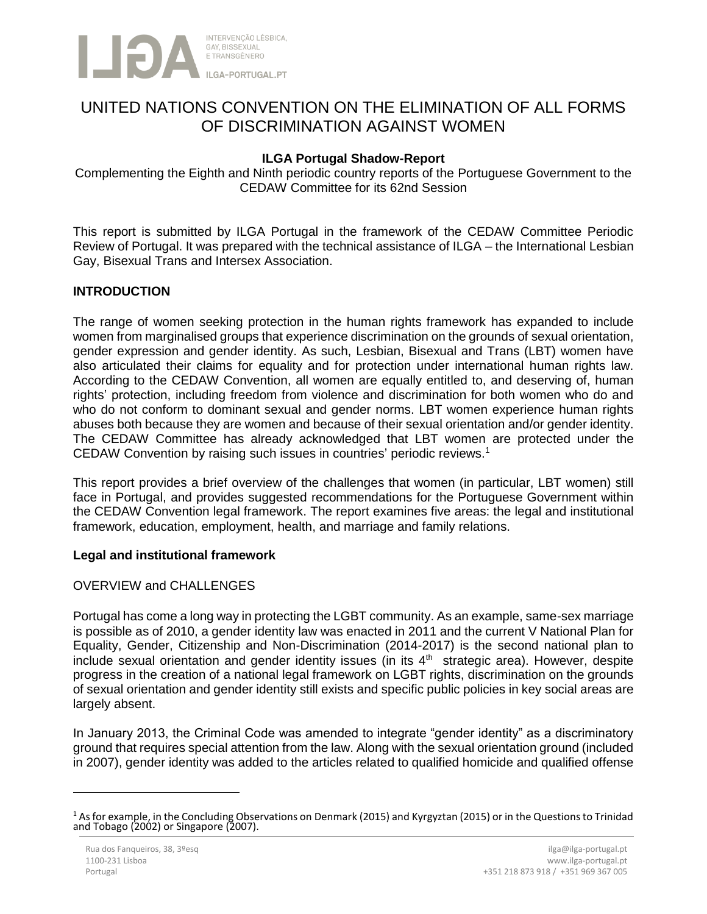

# UNITED NATIONS CONVENTION ON THE ELIMINATION OF ALL FORMS OF DISCRIMINATION AGAINST WOMEN

# **ILGA Portugal Shadow-Report**

Complementing the Eighth and Ninth periodic country reports of the Portuguese Government to the CEDAW Committee for its 62nd Session

This report is submitted by ILGA Portugal in the framework of the CEDAW Committee Periodic Review of Portugal. It was prepared with the technical assistance of ILGA – the International Lesbian Gay, Bisexual Trans and Intersex Association.

# **INTRODUCTION**

The range of women seeking protection in the human rights framework has expanded to include women from marginalised groups that experience discrimination on the grounds of sexual orientation, gender expression and gender identity. As such, Lesbian, Bisexual and Trans (LBT) women have also articulated their claims for equality and for protection under international human rights law. According to the CEDAW Convention, all women are equally entitled to, and deserving of, human rights' protection, including freedom from violence and discrimination for both women who do and who do not conform to dominant sexual and gender norms. LBT women experience human rights abuses both because they are women and because of their sexual orientation and/or gender identity. The CEDAW Committee has already acknowledged that LBT women are protected under the CEDAW Convention by raising such issues in countries' periodic reviews. 1

This report provides a brief overview of the challenges that women (in particular, LBT women) still face in Portugal, and provides suggested recommendations for the Portuguese Government within the CEDAW Convention legal framework. The report examines five areas: the legal and institutional framework, education, employment, health, and marriage and family relations.

## **Legal and institutional framework**

## OVERVIEW and CHALLENGES

Portugal has come a long way in protecting the LGBT community. As an example, same-sex marriage is possible as of 2010, a gender identity law was enacted in 2011 and the current V National Plan for Equality, Gender, Citizenship and Non-Discrimination (2014-2017) is the second national plan to include sexual orientation and gender identity issues (in its  $4<sup>th</sup>$  strategic area). However, despite progress in the creation of a national legal framework on LGBT rights, discrimination on the grounds of sexual orientation and gender identity still exists and specific public policies in key social areas are largely absent.

In January 2013, the Criminal Code was amended to integrate "gender identity" as a discriminatory ground that requires special attention from the law. Along with the sexual orientation ground (included in 2007), gender identity was added to the articles related to qualified homicide and qualified offense

 $\ddot{\phantom{a}}$ 

 $1$  As for example, in the Concluding Observations on Denmark (2015) and Kyrgyztan (2015) or in the Questions to Trinidad and Tobago (2002) or Singapore (2007).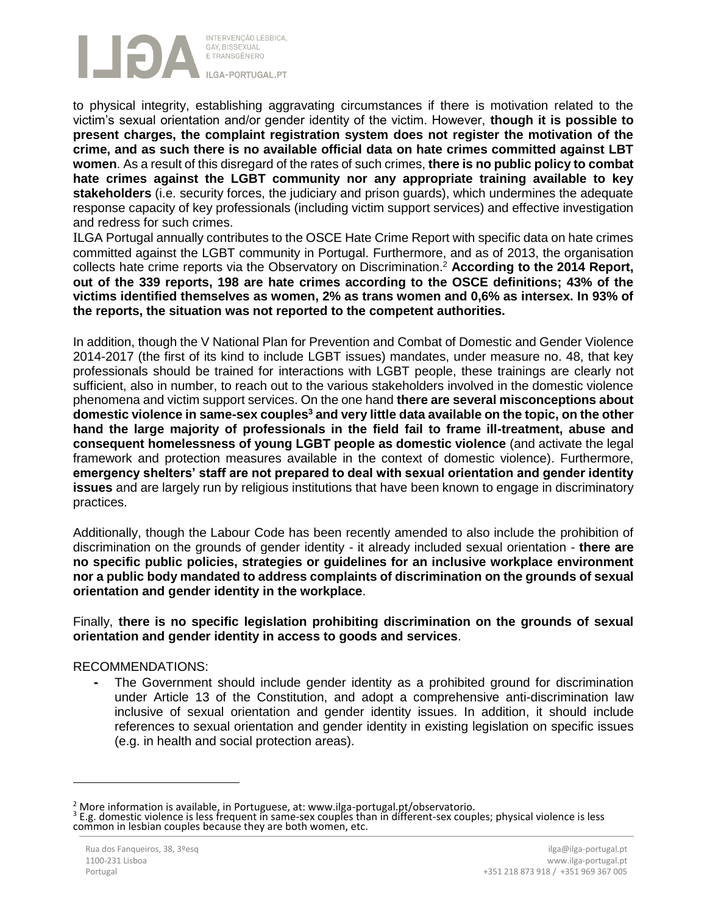

to physical integrity, establishing aggravating circumstances if there is motivation related to the victim's sexual orientation and/or gender identity of the victim. However, **though it is possible to present charges, the complaint registration system does not register the motivation of the crime, and as such there is no available official data on hate crimes committed against LBT women**. As a result of this disregard of the rates of such crimes, **there is no public policy to combat hate crimes against the LGBT community nor any appropriate training available to key stakeholders** (i.e. security forces, the judiciary and prison guards), which undermines the adequate response capacity of key professionals (including victim support services) and effective investigation and redress for such crimes.

ILGA Portugal annually contributes to the OSCE Hate Crime Report with specific data on hate crimes committed against the LGBT community in Portugal. Furthermore, and as of 2013, the organisation collects hate crime reports via the Observatory on Discrimination. <sup>2</sup> **According to the 2014 Report, out of the 339 reports, 198 are hate crimes according to the OSCE definitions; 43% of the victims identified themselves as women, 2% as trans women and 0,6% as intersex. In 93% of the reports, the situation was not reported to the competent authorities.**

In addition, though the V National Plan for Prevention and Combat of Domestic and Gender Violence 2014-2017 (the first of its kind to include LGBT issues) mandates, under measure no. 48, that key professionals should be trained for interactions with LGBT people, these trainings are clearly not sufficient, also in number, to reach out to the various stakeholders involved in the domestic violence phenomena and victim support services. On the one hand **there are several misconceptions about domestic violence in same-sex couples<sup>3</sup> and very little data available on the topic, on the other hand the large majority of professionals in the field fail to frame ill-treatment, abuse and consequent homelessness of young LGBT people as domestic violence** (and activate the legal framework and protection measures available in the context of domestic violence). Furthermore, **emergency shelters' staff are not prepared to deal with sexual orientation and gender identity issues** and are largely run by religious institutions that have been known to engage in discriminatory practices.

Additionally, though the Labour Code has been recently amended to also include the prohibition of discrimination on the grounds of gender identity - it already included sexual orientation - **there are no specific public policies, strategies or guidelines for an inclusive workplace environment nor a public body mandated to address complaints of discrimination on the grounds of sexual orientation and gender identity in the workplace**.

Finally, **there is no specific legislation prohibiting discrimination on the grounds of sexual orientation and gender identity in access to goods and services**.

## RECOMMENDATIONS:

**-** The Government should include gender identity as a prohibited ground for discrimination under Article 13 of the Constitution, and adopt a comprehensive anti-discrimination law inclusive of sexual orientation and gender identity issues. In addition, it should include references to sexual orientation and gender identity in existing legislation on specific issues (e.g. in health and social protection areas).

 $\overline{a}$ 

 $2<sup>2</sup>$  More information is available, in Portuguese, at: www.ilga-portugal.pt/observatorio.

<sup>&</sup>lt;sup>3</sup> E.g. domestic violence is less frequent in same-sex couples than in different-sex couples; physical violence is less common in lesbian couples because they are both women, etc.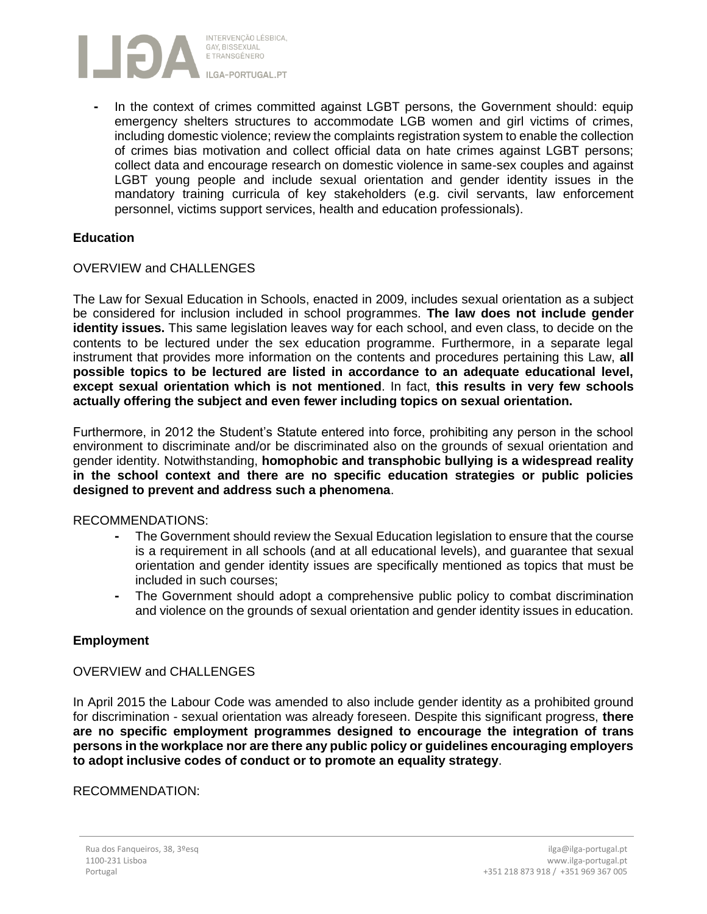

**-** In the context of crimes committed against LGBT persons, the Government should: equip emergency shelters structures to accommodate LGB women and girl victims of crimes, including domestic violence; review the complaints registration system to enable the collection of crimes bias motivation and collect official data on hate crimes against LGBT persons; collect data and encourage research on domestic violence in same-sex couples and against LGBT young people and include sexual orientation and gender identity issues in the mandatory training curricula of key stakeholders (e.g. civil servants, law enforcement personnel, victims support services, health and education professionals).

## **Education**

## OVERVIEW and CHALLENGES

The Law for Sexual Education in Schools, enacted in 2009, includes sexual orientation as a subject be considered for inclusion included in school programmes. **The law does not include gender identity issues.** This same legislation leaves way for each school, and even class, to decide on the contents to be lectured under the sex education programme. Furthermore, in a separate legal instrument that provides more information on the contents and procedures pertaining this Law, **all possible topics to be lectured are listed in accordance to an adequate educational level, except sexual orientation which is not mentioned**. In fact, **this results in very few schools actually offering the subject and even fewer including topics on sexual orientation.**

Furthermore, in 2012 the Student's Statute entered into force, prohibiting any person in the school environment to discriminate and/or be discriminated also on the grounds of sexual orientation and gender identity. Notwithstanding, **homophobic and transphobic bullying is a widespread reality in the school context and there are no specific education strategies or public policies designed to prevent and address such a phenomena**.

#### RECOMMENDATIONS:

- **-** The Government should review the Sexual Education legislation to ensure that the course is a requirement in all schools (and at all educational levels), and guarantee that sexual orientation and gender identity issues are specifically mentioned as topics that must be included in such courses;
- **-** The Government should adopt a comprehensive public policy to combat discrimination and violence on the grounds of sexual orientation and gender identity issues in education.

## **Employment**

#### OVERVIEW and CHALLENGES

In April 2015 the Labour Code was amended to also include gender identity as a prohibited ground for discrimination - sexual orientation was already foreseen. Despite this significant progress, **there are no specific employment programmes designed to encourage the integration of trans persons in the workplace nor are there any public policy or guidelines encouraging employers to adopt inclusive codes of conduct or to promote an equality strategy**.

#### RECOMMENDATION: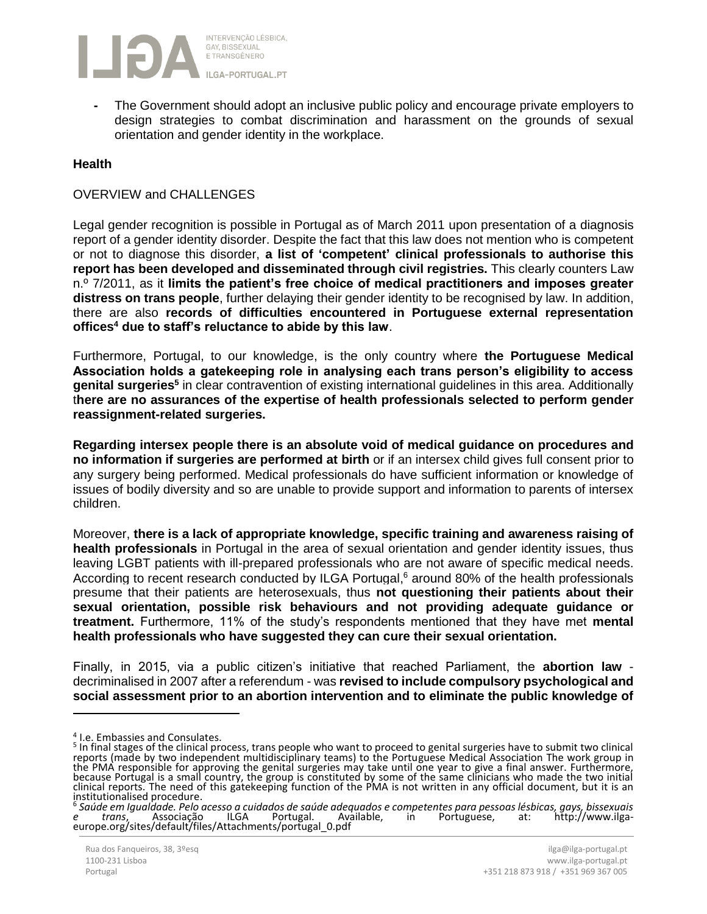

**-** The Government should adopt an inclusive public policy and encourage private employers to design strategies to combat discrimination and harassment on the grounds of sexual orientation and gender identity in the workplace.

#### **Health**

#### OVERVIEW and CHALLENGES

Legal gender recognition is possible in Portugal as of March 2011 upon presentation of a diagnosis report of a gender identity disorder. Despite the fact that this law does not mention who is competent or not to diagnose this disorder, **a list of 'competent' clinical professionals to authorise this report has been developed and disseminated through civil registries.** This clearly counters Law n.º 7/2011, as it **limits the patient's free choice of medical practitioners and imposes greater distress on trans people**, further delaying their gender identity to be recognised by law. In addition, there are also **records of difficulties encountered in Portuguese external representation offices<sup>4</sup> due to staff's reluctance to abide by this law**.

Furthermore, Portugal, to our knowledge, is the only country where **the Portuguese Medical Association holds a gatekeeping role in analysing each trans person's eligibility to access genital surgeries<sup>5</sup>** in clear contravention of existing international guidelines in this area. Additionally t**here are no assurances of the expertise of health professionals selected to perform gender reassignment-related surgeries.**

**Regarding intersex people there is an absolute void of medical guidance on procedures and no information if surgeries are performed at birth** or if an intersex child gives full consent prior to any surgery being performed. Medical professionals do have sufficient information or knowledge of issues of bodily diversity and so are unable to provide support and information to parents of intersex children.

Moreover, **there is a lack of appropriate knowledge, specific training and awareness raising of health professionals** in Portugal in the area of sexual orientation and gender identity issues, thus leaving LGBT patients with ill-prepared professionals who are not aware of specific medical needs. According to recent research conducted by ILGA Portugal, <sup>6</sup> around 80% of the health professionals presume that their patients are heterosexuals, thus **not questioning their patients about their sexual orientation, possible risk behaviours and not providing adequate guidance or treatment.** Furthermore, 11% of the study's respondents mentioned that they have met **mental health professionals who have suggested they can cure their sexual orientation.** 

Finally, in 2015, via a public citizen's initiative that reached Parliament, the **abortion law** decriminalised in 2007 after a referendum - was **revised to include compulsory psychological and social assessment prior to an abortion intervention and to eliminate the public knowledge of**

 $\overline{a}$ 

<sup>4</sup> I.e. Embassies and Consulates.

<sup>&</sup>lt;sup>5</sup> In final stages of the clinical process, trans people who want to proceed to genital surgeries have to submit two clinical reports (made by two independent multidisciplinary teams) to the Portuguese Medical Association The work group in the PMA responsible for approving the genital surgeries may take until one year to give a final answer. Furthermore, because Portugal is a small country, the group is constituted by some of the same clinicians who made the two initial clinical reports. The need of this gatekeeping function of the PMA is not written in any official document, but it is an

institutionalised procedure. 6 *Saúde em Igualdade. Pelo acesso a cuidados de saúde adequados e competentes para pessoas lésbicas, gays, bissexuais e trans*, Associação ILGA Portugal. Available, in Portuguese, at: http://www.ilgaeurope.org/sites/default/files/Attachments/portugal\_0.pdf